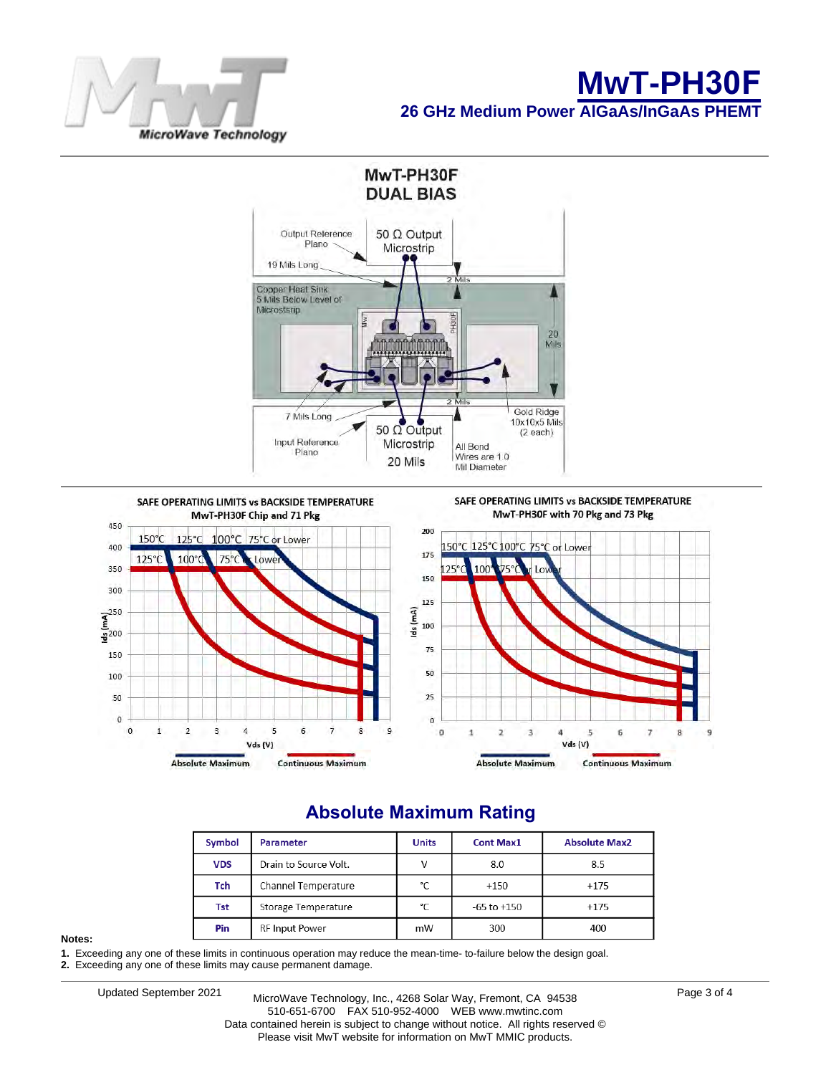





#### Symbol Parameter Units **Cont Max1 Absolute Max2 VDS** Drain to Source Volt. V 8.0 8.5 Tch Channel Temperature  $^{\circ}$ C  $+150$  $+175$ Tst Storage Temperature  $^{\circ}$ C  $-65$  to  $+150$  $+175$ Pin **RF Input Power** mW 300 400

# **Absolute Maximum Rating**

#### **Notes:**

**1.** Exceeding any one of these limits in continuous operation may reduce the mean-time- to-failure below the design goal.

**2.** Exceeding any one of these limits may cause permanent damage.